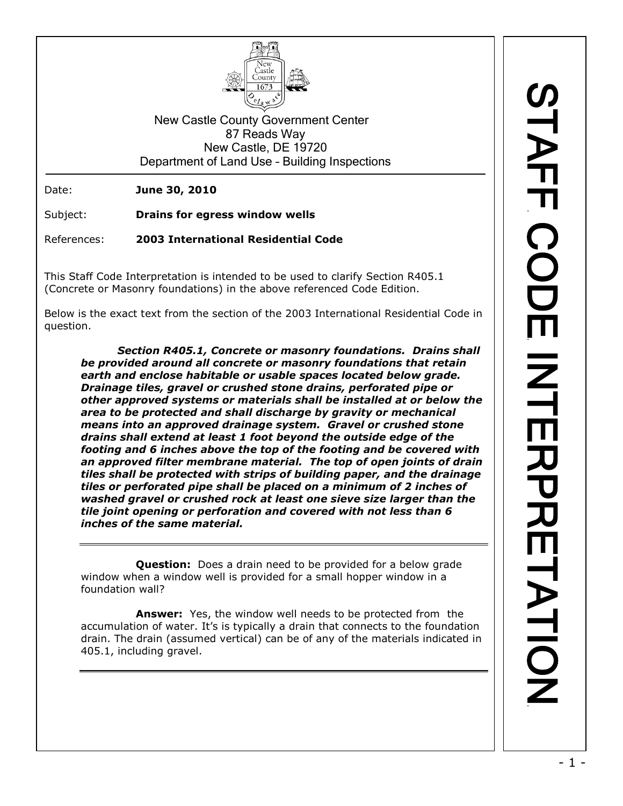

New Castle County Government Center 87 Reads Way New Castle, DE 19720 Department of Land Use – Building Inspections

Date: **June 30, 2010**

Subject: **Drains for egress window wells**

References: **2003 International Residential Code**

This Staff Code Interpretation is intended to be used to clarify Section R405.1 (Concrete or Masonry foundations) in the above referenced Code Edition.

Below is the exact text from the section of the 2003 International Residential Code in question.

*Section R405.1, Concrete or masonry foundations. Drains shall be provided around all concrete or masonry foundations that retain earth and enclose habitable or usable spaces located below grade. Drainage tiles, gravel or crushed stone drains, perforated pipe or other approved systems or materials shall be installed at or below the area to be protected and shall discharge by gravity or mechanical means into an approved drainage system. Gravel or crushed stone drains shall extend at least 1 foot beyond the outside edge of the footing and 6 inches above the top of the footing and be covered with an approved filter membrane material. The top of open joints of drain tiles shall be protected with strips of building paper, and the drainage tiles or perforated pipe shall be placed on a minimum of 2 inches of washed gravel or crushed rock at least one sieve size larger than the tile joint opening or perforation and covered with not less than 6 inches of the same material.*

**Question:** Does a drain need to be provided for a below grade window when a window well is provided for a small hopper window in a foundation wall?

**Answer:** Yes, the window well needs to be protected from the accumulation of water. It's is typically a drain that connects to the foundation drain. The drain (assumed vertical) can be of any of the materials indicated in 405.1, including gravel.